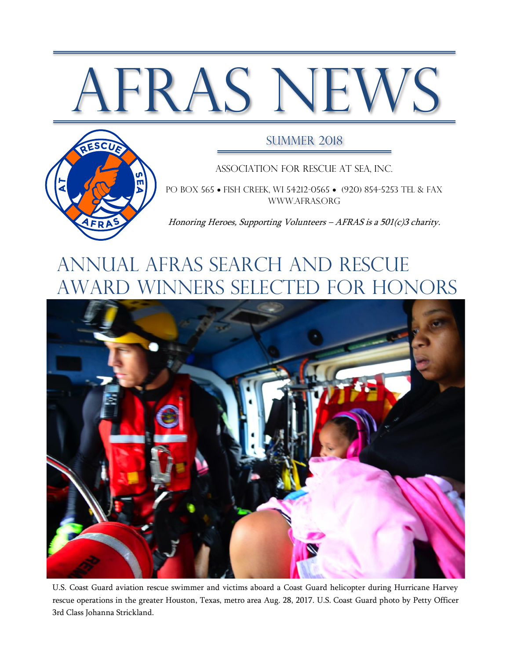# AFRAS NEWS



#### SUMMER 2018

Association for Rescue at Sea, Inc.

PO BOX 565 • FISH CREEK, WI 54212-0565 • (920) 854-5253 TEL & FAX [www.afras.org](http://www.afras.org/)

Honoring Heroes, Supporting Volunteers – AFRAS is a 501(c)3 charity.

## Annual AFRAS Search and rescue award winners Selected for Honors



U.S. Coast Guard aviation rescue swimmer and victims aboard a Coast Guard helicopter during Hurricane Harvey rescue operations in the greater Houston, Texas, metro area Aug. 28, 2017. U.S. Coast Guard photo by Petty Officer 3rd Class Johanna Strickland.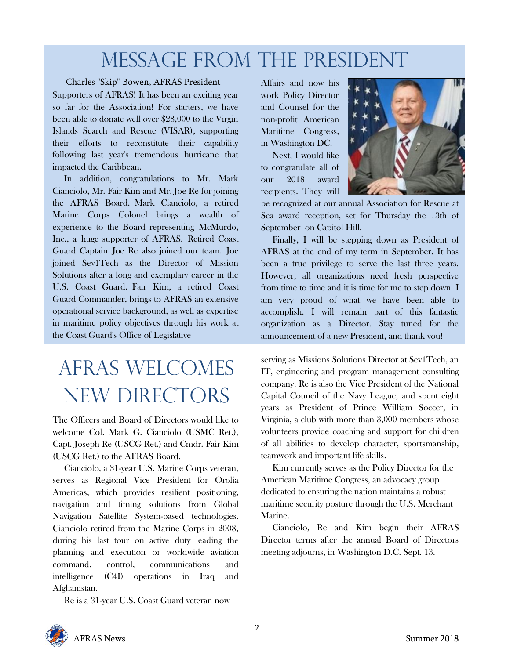## Message From The President

#### Charles "Skip" Bowen, AFRAS President

Supporters of AFRAS! It has been an exciting year so far for the Association! For starters, we have been able to donate well over \$28,000 to the Virgin Islands Search and Rescue (VISAR), supporting their efforts to reconstitute their capability following last year's tremendous hurricane that impacted the Caribbean.

 In addition, congratulations to Mr. Mark Cianciolo, Mr. Fair Kim and Mr. Joe Re for joining the AFRAS Board. Mark Cianciolo, a retired Marine Corps Colonel brings a wealth of experience to the Board representing McMurdo, Inc., a huge supporter of AFRAS. Retired Coast Guard Captain Joe Re also joined our team. Joe joined Sev1Tech as the Director of Mission Solutions after a long and exemplary career in the U.S. Coast Guard. Fair Kim, a retired Coast Guard Commander, brings to AFRAS an extensive operational service background, as well as expertise in maritime policy objectives through his work at the Coast Guard's Office of Legislative

# AFRAS Welcomes New Directors

The Officers and Board of Directors would like to welcome Col. Mark G. Cianciolo (USMC Ret.), Capt. Joseph Re (USCG Ret.) and Cmdr. Fair Kim (USCG Ret.) to the AFRAS Board.

 Cianciolo, a 31-year U.S. Marine Corps veteran, serves as Regional Vice President for Orolia Americas, which provides resilient positioning, navigation and timing solutions from Global Navigation Satellite System-based technologies. Cianciolo retired from the Marine Corps in 2008, during his last tour on active duty leading the planning and execution or worldwide aviation command, control, communications and intelligence (C4I) operations in Iraq and Afghanistan.

Re is a 31-year U.S. Coast Guard veteran now

Affairs and now his work Policy Director and Counsel for the non-profit American Maritime Congress, in Washington DC.

 Next, I would like to congratulate all of our 2018 award recipients. They will



be recognized at our annual Association for Rescue at Sea award reception, set for Thursday the 13th of September on Capitol Hill.

 Finally, I will be stepping down as President of AFRAS at the end of my term in September. It has been a true privilege to serve the last three years. However, all organizations need fresh perspective from time to time and it is time for me to step down. I am very proud of what we have been able to accomplish. I will remain part of this fantastic organization as a Director. Stay tuned for the announcement of a new President, and thank you!

serving as Missions Solutions Director at Sev1Tech, an IT, engineering and program management consulting company. Re is also the Vice President of the National Capital Council of the Navy League, and spent eight years as President of Prince William Soccer, in Virginia, a club with more than 3,000 members whose volunteers provide coaching and support for children of all abilities to develop character, sportsmanship, teamwork and important life skills.

 Kim currently serves as the Policy Director for the American Maritime Congress, an advocacy group dedicated to ensuring the nation maintains a robust maritime security posture through the U.S. Merchant Marine.

 Cianciolo, Re and Kim begin their AFRAS Director terms after the annual Board of Directors meeting adjourns, in Washington D.C. Sept. 13.

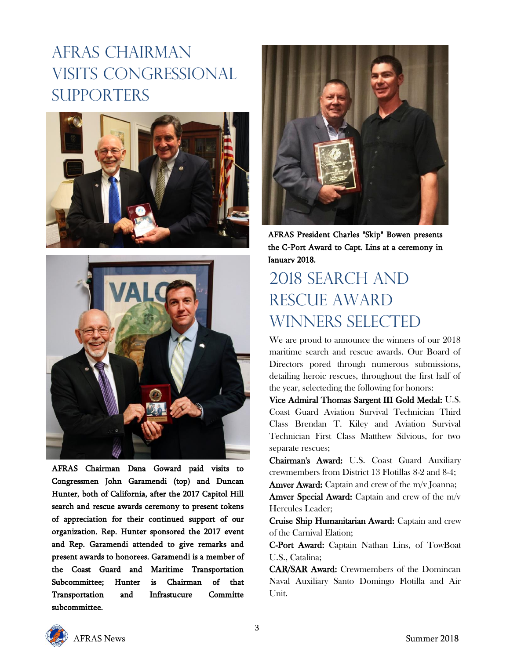## AFRAS CHAIRMAN Visits Congressional **SUPPORTERS**





AFRAS Chairman Dana Goward paid visits to Congressmen John Garamendi (top) and Duncan Hunter, both of California, after the 2017 Capitol Hill search and rescue awards ceremony to present tokens of appreciation for their continued support of our organization. Rep. Hunter sponsored the 2017 event and Rep. Garamendi attended to give remarks and present awards to honorees. Garamendi is a member of the Coast Guard and Maritime Transportation Subcommittee; Hunter is Chairman of that Transportation and Infrastucure Committe subcommittee.



AFRAS President Charles "Skip" Bowen presents the C-Port Award to Capt. Lins at a ceremony in January 2018.

## 2018 Search and rescue award winners selected

We are proud to announce the winners of our 2018 maritime search and rescue awards. Our Board of Directors pored through numerous submissions, detailing heroic rescues, throughout the first half of the year, selecteding the following for honors:

Vice Admiral Thomas Sargent III Gold Medal: U.S. Coast Guard Aviation Survival Technician Third Class Brendan T. Kiley and Aviation Survival Technician First Class Matthew Silvious, for two separate rescues;

Chairman's Award: U.S. Coast Guard Auxiliary crewmembers from District 13 Flotillas 8-2 and 8-4;

Amver Award: Captain and crew of the m/v Joanna; Amver Special Award: Captain and crew of the m/v Hercules Leader;

Cruise Ship Humanitarian Award: Captain and crew of the Carnival Elation;

C-Port Award: Captain Nathan Lins, of TowBoat U.S., Catalina;

CAR/SAR Award: Crewmembers of the Domincan Naval Auxiliary Santo Domingo Flotilla and Air Unit.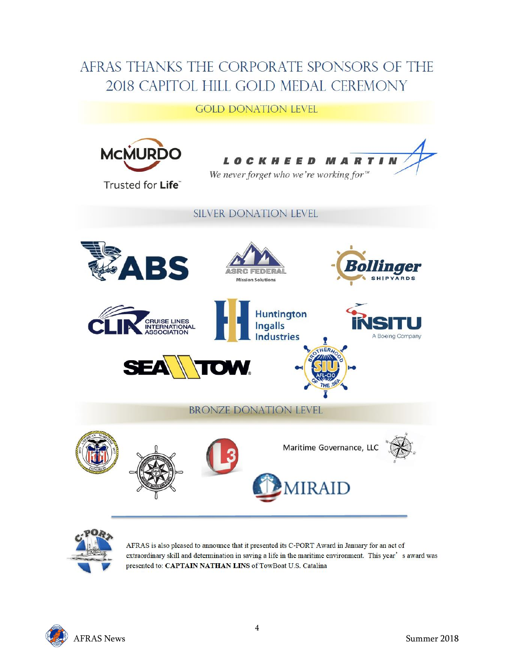### AFRAS THANKS THE CORPORATE SPONSORS OF THE 2018 CAPITOL HILL GOLD MEDAL CEREMONY

#### **GOLD DONATION LEVEL**





AFRAS is also pleased to announce that it presented its C-PORT Award in January for an act of extraordinary skill and determination in saving a life in the maritime environment. This year's award was presented to: CAPTAIN NATHAN LINS of TowBoat U.S. Catalina